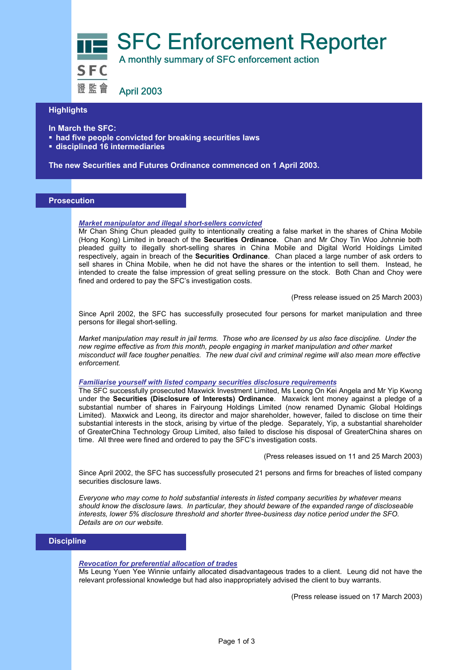

# **Highlights**

- **In March the SFC:**
- **had five people convicted for breaking securities laws**
- **disciplined 16 intermediaries**

**The new Securities and Futures Ordinance commenced on 1 April 2003.**

## **Prosecution**

### *Market manipulator and illegal short-sellers convicted*

Mr Chan Shing Chun pleaded guilty to intentionally creating a false market in the shares of China Mobile (Hong Kong) Limited in breach of the **Securities Ordinance**. Chan and Mr Choy Tin Woo Johnnie both pleaded guilty to illegally short-selling shares in China Mobile and Digital World Holdings Limited respectively, again in breach of the **Securities Ordinance**. Chan placed a large number of ask orders to sell shares in China Mobile, when he did not have the shares or the intention to sell them. Instead, he intended to create the false impression of great selling pressure on the stock. Both Chan and Choy were fined and ordered to pay the SFC's investigation costs.

(Press release issued on 25 March 2003)

Since April 2002, the SFC has successfully prosecuted four persons for market manipulation and three persons for illegal short-selling.

*Market manipulation may result in jail terms. Those who are licensed by us also face discipline. Under the new regime effective as from this month, people engaging in market manipulation and other market misconduct will face tougher penalties. The new dual civil and criminal regime will also mean more effective enforcement.* 

### *Familiarise yourself with listed company securities disclosure requirements*

The SFC successfully prosecuted Maxwick Investment Limited, Ms Leong On Kei Angela and Mr Yip Kwong under the **Securities (Disclosure of Interests) Ordinance**. Maxwick lent money against a pledge of a substantial number of shares in Fairyoung Holdings Limited (now renamed Dynamic Global Holdings Limited). Maxwick and Leong, its director and major shareholder, however, failed to disclose on time their substantial interests in the stock, arising by virtue of the pledge. Separately, Yip, a substantial shareholder of GreaterChina Technology Group Limited, also failed to disclose his disposal of GreaterChina shares on time. All three were fined and ordered to pay the SFC's investigation costs.

(Press releases issued on 11 and 25 March 2003)

Since April 2002, the SFC has successfully prosecuted 21 persons and firms for breaches of listed company securities disclosure laws.

*Everyone who may come to hold substantial interests in listed company securities by whatever means should know the disclosure laws. In particular, they should beware of the expanded range of discloseable interests, lower 5% disclosure threshold and shorter three-business day notice period under the SFO. Details are on our website.* 

# **Discipline**

### *Revocation for preferential allocation of trades*

Ms Leung Yuen Yee Winnie unfairly allocated disadvantageous trades to a client. Leung did not have the relevant professional knowledge but had also inappropriately advised the client to buy warrants.

(Press release issued on 17 March 2003)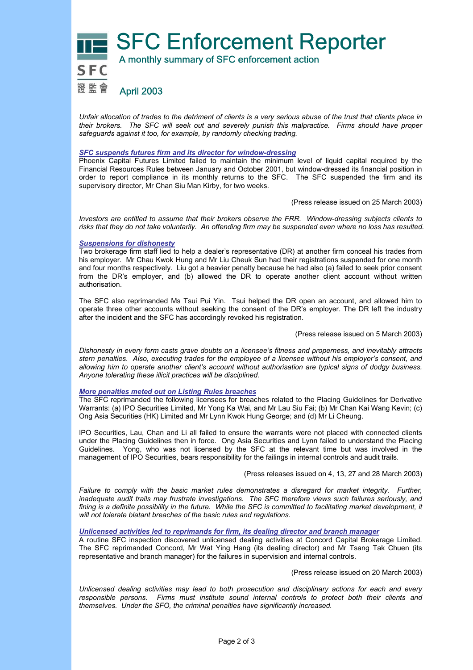

*Unfair allocation of trades to the detriment of clients is a very serious abuse of the trust that clients place in their brokers. The SFC will seek out and severely punish this malpractice. Firms should have proper safeguards against it too, for example, by randomly checking trading.* 

### *SFC suspends futures firm and its director for window-dressing*

Phoenix Capital Futures Limited failed to maintain the minimum level of liquid capital required by the Financial Resources Rules between January and October 2001, but window-dressed its financial position in order to report compliance in its monthly returns to the SFC. The SFC suspended the firm and its supervisory director, Mr Chan Siu Man Kirby, for two weeks.

(Press release issued on 25 March 2003)

*Investors are entitled to assume that their brokers observe the FRR. Window-dressing subjects clients to risks that they do not take voluntarily. An offending firm may be suspended even where no loss has resulted.* 

## *Suspensions for dishonesty*

Two brokerage firm staff lied to help a dealer's representative (DR) at another firm conceal his trades from his employer. Mr Chau Kwok Hung and Mr Liu Cheuk Sun had their registrations suspended for one month and four months respectively. Liu got a heavier penalty because he had also (a) failed to seek prior consent from the DR's employer, and (b) allowed the DR to operate another client account without written authorisation.

The SFC also reprimanded Ms Tsui Pui Yin. Tsui helped the DR open an account, and allowed him to operate three other accounts without seeking the consent of the DR's employer. The DR left the industry after the incident and the SFC has accordingly revoked his registration.

(Press release issued on 5 March 2003)

*Dishonesty in every form casts grave doubts on a licensee's fitness and properness, and inevitably attracts stern penalties. Also, executing trades for the employee of a licensee without his employer's consent, and allowing him to operate another client's account without authorisation are typical signs of dodgy business. Anyone tolerating these illicit practices will be disciplined.* 

### *More penalties meted out on Listing Rules breaches*

The SFC reprimanded the following licensees for breaches related to the Placing Guidelines for Derivative Warrants: (a) IPO Securities Limited, Mr Yong Ka Wai, and Mr Lau Siu Fai; (b) Mr Chan Kai Wang Kevin; (c) Ong Asia Securities (HK) Limited and Mr Lynn Kwok Hung George; and (d) Mr Li Cheung.

IPO Securities, Lau, Chan and Li all failed to ensure the warrants were not placed with connected clients under the Placing Guidelines then in force. Ong Asia Securities and Lynn failed to understand the Placing Guidelines. Yong, who was not licensed by the SFC at the relevant time but was involved in the management of IPO Securities, bears responsibility for the failings in internal controls and audit trails.

(Press releases issued on 4, 13, 27 and 28 March 2003)

*Failure to comply with the basic market rules demonstrates a disregard for market integrity. Further, inadequate audit trails may frustrate investigations. The SFC therefore views such failures seriously, and*  fining is a definite possibility in the future. While the SFC is committed to facilitating market development, it *will not tolerate blatant breaches of the basic rules and regulations.* 

*Unlicensed activities led to reprimands for firm, its dealing director and branch manager* 

A routine SFC inspection discovered unlicensed dealing activities at Concord Capital Brokerage Limited. The SFC reprimanded Concord, Mr Wat Ying Hang (its dealing director) and Mr Tsang Tak Chuen (its representative and branch manager) for the failures in supervision and internal controls.

(Press release issued on 20 March 2003)

*Unlicensed dealing activities may lead to both prosecution and disciplinary actions for each and every responsible persons. Firms must institute sound internal controls to protect both their clients and themselves. Under the SFO, the criminal penalties have significantly increased.*